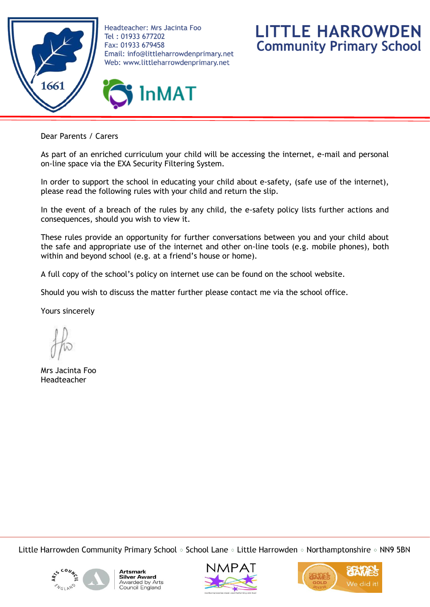

Headteacher: Mrs Jacinta Foo Tel: 01933 677202 Fax: 01933 679458 Email: info@littleharrowdenprimary.net Web: www.littleharrowdenprimary.net

**InMAT** 



Dear Parents / Carers

As part of an enriched curriculum your child will be accessing the internet, e-mail and personal on-line space via the EXA Security Filtering System.

In order to support the school in educating your child about e-safety, (safe use of the internet), please read the following rules with your child and return the slip.

In the event of a breach of the rules by any child, the e-safety policy lists further actions and consequences, should you wish to view it.

These rules provide an opportunity for further conversations between you and your child about the safe and appropriate use of the internet and other on-line tools (e.g. mobile phones), both within and beyond school (e.g. at a friend's house or home).

A full copy of the school's policy on internet use can be found on the school website.

Should you wish to discuss the matter further please contact me via the school office.

Yours sincerely

Mrs Jacinta Foo Headteacher

Little Harrowden Community Primary School  $\circ$  School Lane  $\circ$  Little Harrowden  $\circ$  Northamptonshire  $\circ$  NN9 5BN